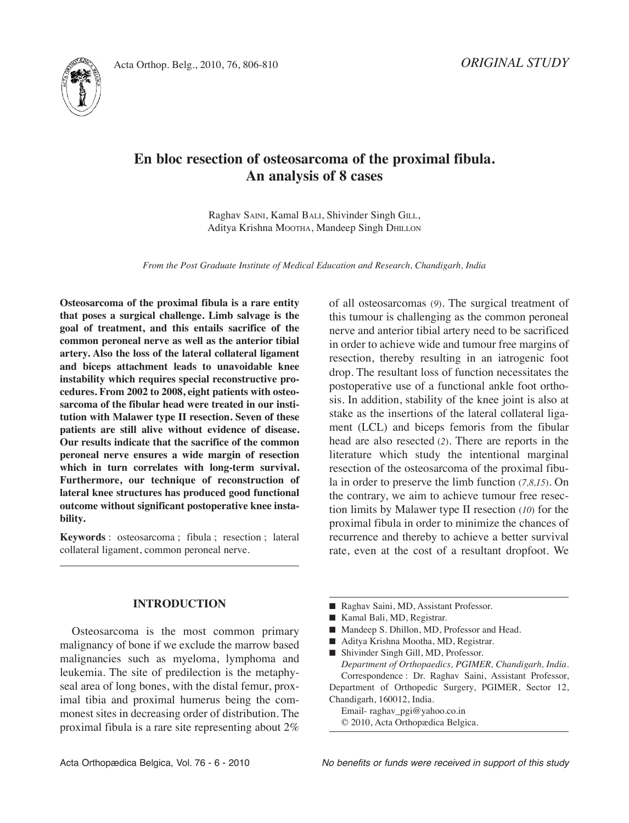



# **En bloc resection of osteosarcoma of the proximal fibula. An analysis of 8 cases**

Raghav SAINI, Kamal BALI, Shivinder Singh GILL, Aditya Krishna MOOTHA, Mandeep Singh DHILLON

*From the Post Graduate Institute of Medical Education and Research, Chandigarh, India*

**Osteosarcoma of the proximal fibula is a rare entity that poses a surgical challenge. Limb salvage is the goal of treatment, and this entails sacrifice of the common peroneal nerve as well as the anterior tibial artery. Also the loss of the lateral collateral ligament and biceps attachment leads to unavoidable knee instability which requires special reconstructive procedures. From 2002 to 2008, eight patients with osteosarcoma of the fibular head were treated in our institution with Malawer type II resection. Seven of these patients are still alive without evidence of disease. Our results indicate that the sacrifice of the common peroneal nerve ensures a wide margin of resection which in turn correlates with long-term survival. Furthermore, our technique of reconstruction of lateral knee structures has produced good functional outcome without significant postoperative knee instability.**

**Keywords** : osteosarcoma ; fibula ; resection ; lateral collateral ligament, common peroneal nerve.

#### **INTRODUCTION**

Osteosarcoma is the most common primary malignancy of bone if we exclude the marrow based malignancies such as myeloma, lymphoma and leukemia. The site of predilection is the metaphyseal area of long bones, with the distal femur, proximal tibia and proximal humerus being the commonest sites in decreasing order of distribution. The proximal fibula is a rare site representing about 2%

of all osteosarcomas (9). The surgical treatment of this tumour is challenging as the common peroneal nerve and anterior tibial artery need to be sacrificed in order to achieve wide and tumour free margins of resection, thereby resulting in an iatrogenic foot drop. The resultant loss of function necessitates the postoperative use of a functional ankle foot orthosis. In addition, stability of the knee joint is also at stake as the insertions of the lateral collateral ligament (lCl) and biceps femoris from the fibular head are also resected (2). There are reports in the literature which study the intentional marginal resection of the osteosarcoma of the proximal fibula in order to preserve the limb function (*7,8,15*). On the contrary, we aim to achieve tumour free resection limits by Malawer type II resection (*10*) for the proximal fibula in order to minimize the chances of recurrence and thereby to achieve a better survival rate, even at the cost of a resultant dropfoot. We

- Raghav Saini, MD, Assistant Professor.
- Kamal Bali, MD, Registrar.
- Mandeep S. Dhillon, MD, Professor and Head.
- Aditya Krishna Mootha, MD, Registrar.
- Shivinder Singh Gill, MD, Professor. *Department of Orthopaedics, PGIMER, Chandigarh, India.* Correspondence : Dr. Raghav Saini, Assistant Professor, Department of Orthopedic Surgery, PGIMER, Sector 12, Chandigarh, 160012, India. Email- raghav\_pgi@yahoo.co.in

© 2010, Acta Orthopædica Belgica.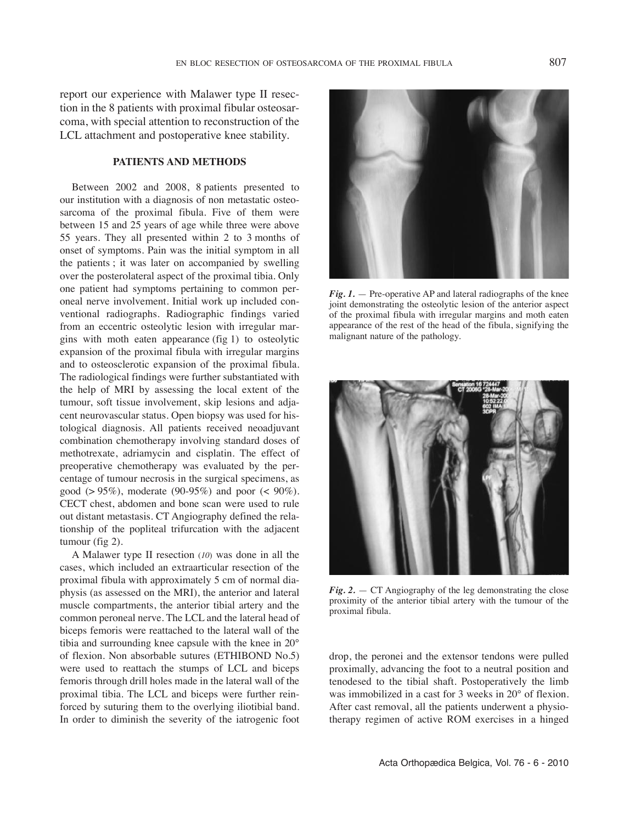report our experience with Malawer type II resection in the 8 patients with proximal fibular osteosarcoma, with special attention to reconstruction of the LCL attachment and postoperative knee stability.

# **PATIENTS AND METHODS**

Between 2002 and 2008, 8 patients presented to our institution with a diagnosis of non metastatic osteosarcoma of the proximal fibula. Five of them were between 15 and 25 years of age while three were above 55 years. they all presented within 2 to 3 months of onset of symptoms. Pain was the initial symptom in all the patients ; it was later on accompanied by swelling over the posterolateral aspect of the proximal tibia. Only one patient had symptoms pertaining to common peroneal nerve involvement. Initial work up included conventional radiographs. Radiographic findings varied from an eccentric osteolytic lesion with irregular margins with moth eaten appearance (fig 1) to osteolytic expansion of the proximal fibula with irregular margins and to osteosclerotic expansion of the proximal fibula. The radiological findings were further substantiated with the help of MRI by assessing the local extent of the tumour, soft tissue involvement, skip lesions and adjacent neurovascular status. Open biopsy was used for histological diagnosis. All patients received neoadjuvant combination chemotherapy involving standard doses of methotrexate, adriamycin and cisplatin. The effect of preoperative chemotherapy was evaluated by the percentage of tumour necrosis in the surgical specimens, as good ( $> 95\%$ ), moderate (90-95%) and poor ( $< 90\%$ ). CECT chest, abdomen and bone scan were used to rule out distant metastasis. CT Angiography defined the relationship of the popliteal trifurcation with the adjacent tumour (fig 2).

A Malawer type II resection (*10*) was done in all the cases, which included an extraarticular resection of the proximal fibula with approximately 5 cm of normal diaphysis (as assessed on the MRI), the anterior and lateral muscle compartments, the anterior tibial artery and the common peroneal nerve. The LCL and the lateral head of biceps femoris were reattached to the lateral wall of the tibia and surrounding knee capsule with the knee in 20° of flexion. Non absorbable sutures (ETHIBOND No.5) were used to reattach the stumps of LCL and biceps femoris through drill holes made in the lateral wall of the proximal tibia. The LCL and biceps were further reinforced by suturing them to the overlying iliotibial band. In order to diminish the severity of the iatrogenic foot



*Fig. 1.* — Pre-operative AP and lateral radiographs of the knee joint demonstrating the osteolytic lesion of the anterior aspect of the proximal fibula with irregular margins and moth eaten appearance of the rest of the head of the fibula, signifying the malignant nature of the pathology.



 $Fig. 2. - CT$  Angiography of the leg demonstrating the close proximity of the anterior tibial artery with the tumour of the proximal fibula.

drop, the peronei and the extensor tendons were pulled proximally, advancing the foot to a neutral position and tenodesed to the tibial shaft. Postoperatively the limb was immobilized in a cast for 3 weeks in 20° of flexion. After cast removal, all the patients underwent a physiotherapy regimen of active ROM exercises in a hinged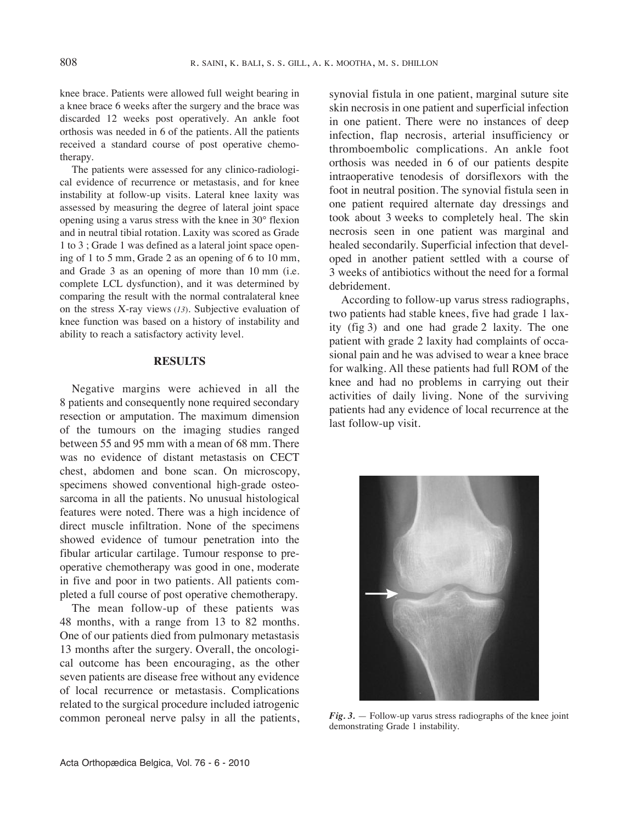knee brace. Patients were allowed full weight bearing in a knee brace 6 weeks after the surgery and the brace was discarded 12 weeks post operatively. An ankle foot orthosis was needed in 6 of the patients. All the patients received a standard course of post operative chemotherapy.

The patients were assessed for any clinico-radiological evidence of recurrence or metastasis, and for knee instability at follow-up visits. lateral knee laxity was assessed by measuring the degree of lateral joint space opening using a varus stress with the knee in 30° flexion and in neutral tibial rotation. laxity was scored as Grade 1 to 3 ; Grade 1 was defined as a lateral joint space opening of 1 to 5 mm, Grade 2 as an opening of 6 to 10 mm, and Grade 3 as an opening of more than 10 mm (i.e. complete lCl dysfunction), and it was determined by comparing the result with the normal contralateral knee on the stress x-ray views (*13*). Subjective evaluation of knee function was based on a history of instability and ability to reach a satisfactory activity level.

# **RESULTS**

Negative margins were achieved in all the 8 patients and consequently none required secondary resection or amputation. The maximum dimension of the tumours on the imaging studies ranged between 55 and 95 mm with a mean of 68 mm. There was no evidence of distant metastasis on CECT chest, abdomen and bone scan. On microscopy, specimens showed conventional high-grade osteosarcoma in all the patients. No unusual histological features were noted. There was a high incidence of direct muscle infiltration. None of the specimens showed evidence of tumour penetration into the fibular articular cartilage. Tumour response to preoperative chemotherapy was good in one, moderate in five and poor in two patients. All patients completed a full course of post operative chemotherapy.

The mean follow-up of these patients was 48 months, with a range from 13 to 82 months. One of our patients died from pulmonary metastasis 13 months after the surgery. Overall, the oncological outcome has been encouraging, as the other seven patients are disease free without any evidence of local recurrence or metastasis. Complications related to the surgical procedure included iatrogenic common peroneal nerve palsy in all the patients, synovial fistula in one patient, marginal suture site skin necrosis in one patient and superficial infection in one patient. There were no instances of deep infection, flap necrosis, arterial insufficiency or thromboembolic complications. An ankle foot orthosis was needed in 6 of our patients despite intraoperative tenodesis of dorsiflexors with the foot in neutral position. The synovial fistula seen in one patient required alternate day dressings and took about 3 weeks to completely heal. The skin necrosis seen in one patient was marginal and healed secondarily. Superficial infection that developed in another patient settled with a course of 3 weeks of antibiotics without the need for a formal debridement.

According to follow-up varus stress radiographs, two patients had stable knees, five had grade 1 laxity (fig 3) and one had grade  $2$  laxity. The one patient with grade 2 laxity had complaints of occasional pain and he was advised to wear a knee brace for walking. All these patients had full ROM of the knee and had no problems in carrying out their activities of daily living. None of the surviving patients had any evidence of local recurrence at the last follow-up visit.



*Fig. 3.* — Follow-up varus stress radiographs of the knee joint demonstrating Grade 1 instability.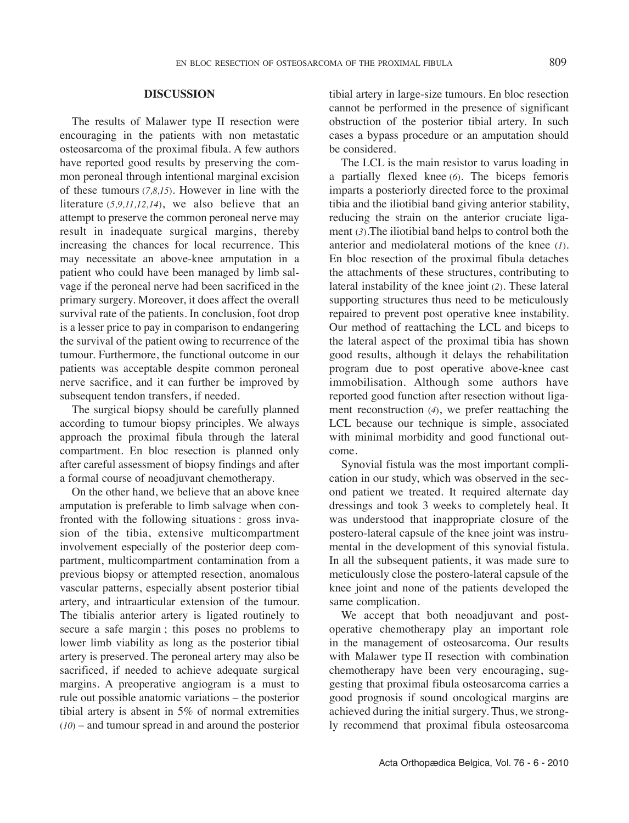# **DISCUSSION**

The results of Malawer type II resection were encouraging in the patients with non metastatic osteosarcoma of the proximal fibula. A few authors have reported good results by preserving the common peroneal through intentional marginal excision of these tumours (*7,8,15*). However in line with the literature (*5,9,11,12,14*), we also believe that an attempt to preserve the common peroneal nerve may result in inadequate surgical margins, thereby increasing the chances for local recurrence. This may necessitate an above-knee amputation in a patient who could have been managed by limb salvage if the peroneal nerve had been sacrificed in the primary surgery. Moreover, it does affect the overall survival rate of the patients. In conclusion, foot drop is a lesser price to pay in comparison to endangering the survival of the patient owing to recurrence of the tumour. Furthermore, the functional outcome in our patients was acceptable despite common peroneal nerve sacrifice, and it can further be improved by subsequent tendon transfers, if needed.

The surgical biopsy should be carefully planned according to tumour biopsy principles. We always approach the proximal fibula through the lateral compartment. En bloc resection is planned only after careful assessment of biopsy findings and after a formal course of neoadjuvant chemotherapy.

On the other hand, we believe that an above knee amputation is preferable to limb salvage when confronted with the following situations : gross invasion of the tibia, extensive multicompartment involvement especially of the posterior deep compartment, multicompartment contamination from a previous biopsy or attempted resection, anomalous vascular patterns, especially absent posterior tibial artery, and intraarticular extension of the tumour. The tibialis anterior artery is ligated routinely to secure a safe margin ; this poses no problems to lower limb viability as long as the posterior tibial artery is preserved. The peroneal artery may also be sacrificed, if needed to achieve adequate surgical margins. A preoperative angiogram is a must to rule out possible anatomic variations – the posterior tibial artery is absent in 5% of normal extremities (*10*) – and tumour spread in and around the posterior tibial artery in large-size tumours. En bloc resection cannot be performed in the presence of significant obstruction of the posterior tibial artery. In such cases a bypass procedure or an amputation should be considered.

The LCL is the main resistor to varus loading in a partially flexed knee (*6*). the biceps femoris imparts a posteriorly directed force to the proximal tibia and the iliotibial band giving anterior stability, reducing the strain on the anterior cruciate ligament  $(3)$ . The iliotibial band helps to control both the anterior and mediolateral motions of the knee (*1*)*.* En bloc resection of the proximal fibula detaches the attachments of these structures, contributing to lateral instability of the knee joint (2). These lateral supporting structures thus need to be meticulously repaired to prevent post operative knee instability. Our method of reattaching the lCl and biceps to the lateral aspect of the proximal tibia has shown good results, although it delays the rehabilitation program due to post operative above-knee cast immobilisation. Although some authors have reported good function after resection without ligament reconstruction (*4*), we prefer reattaching the LCL because our technique is simple, associated with minimal morbidity and good functional outcome.

Synovial fistula was the most important complication in our study, which was observed in the second patient we treated. It required alternate day dressings and took 3 weeks to completely heal. It was understood that inappropriate closure of the postero-lateral capsule of the knee joint was instrumental in the development of this synovial fistula. In all the subsequent patients, it was made sure to meticulously close the postero-lateral capsule of the knee joint and none of the patients developed the same complication.

We accept that both neoadjuvant and postoperative chemotherapy play an important role in the management of osteosarcoma. Our results with Malawer type II resection with combination chemotherapy have been very encouraging, suggesting that proximal fibula osteosarcoma carries a good prognosis if sound oncological margins are achieved during the initial surgery. Thus, we strongly recommend that proximal fibula osteosarcoma